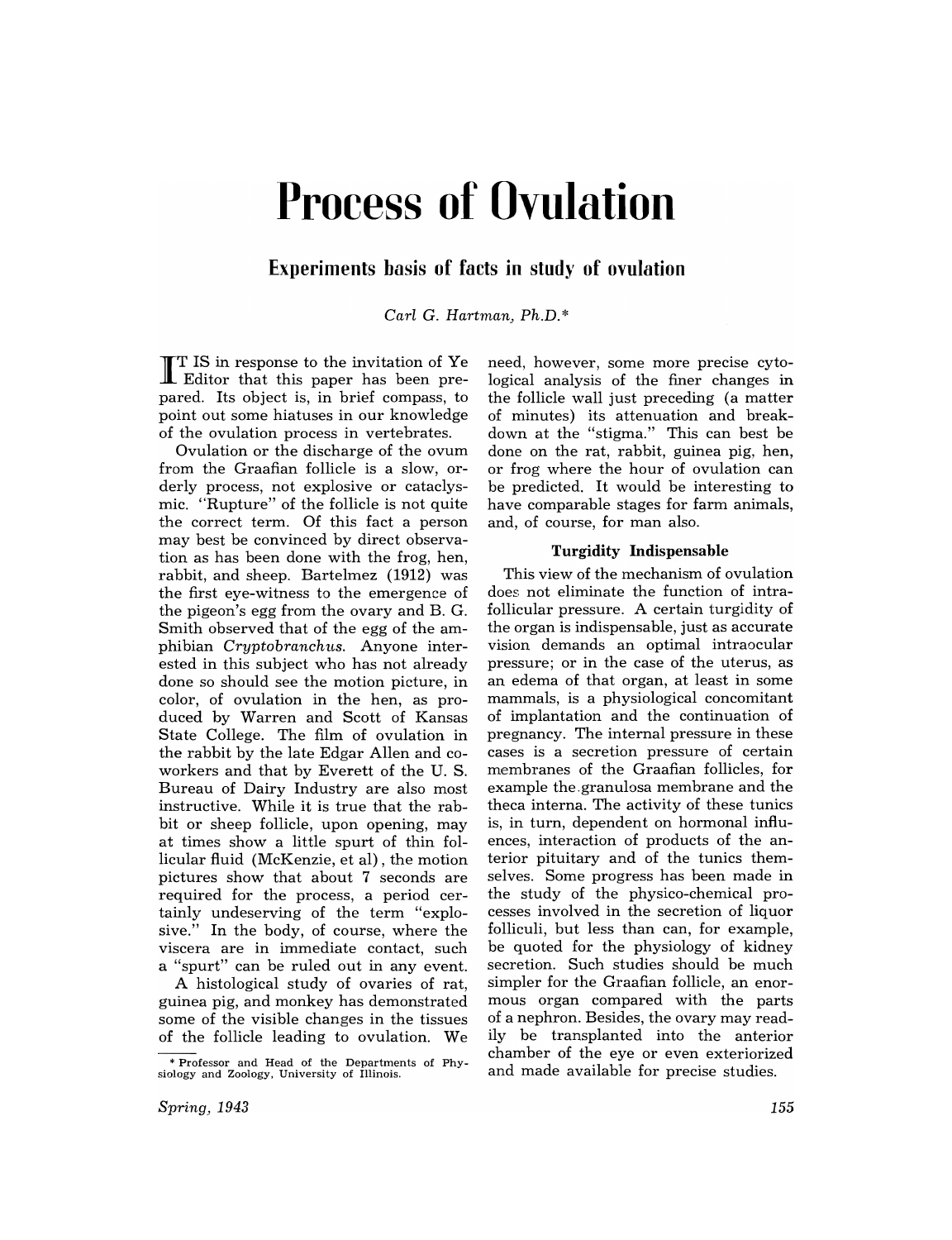# **Process of Ovulation**

**Experiments basis of facts in study of ovulation** 

*Carl* C. *Hartman) Ph.D.* \*

I T IS in response to the invitation of Ye Editor that this paper has been prepared. Its object is, in brief compass, to point out some hiatuses in our knowledge of the ovulation process in vertebrates.

Ovulation or the discharge of the ovum from the Graafian follicle is a slow, orderly process, not explosive or cataclysmic. "Rupture" of the follicle is not quite the correct term. Of this fact a person may best be convinced by direct observation as has been done with the frog, hen, rabbit, and sheep. Bartelmez (1912) was the first eye-witness to the emergence of the pigeon's egg from the ovary and B. G. Smith observed that of the egg of the amphibian *Cryptobranchus.* Anyone interested in this subject who has not already done so should see the motion picture, in color, of ovulation in the hen, as produced by Warren and Scott of Kansas State College. The film of ovulation in the rabbit by the late Edgar Allen and coworkers and that by Everett of the U. S. Bureau of Dairy Industry are also most instructive. While it is true that the rabbit or sheep follicle, upon opening, may at times show a little spurt of thin follicular fluid (McKenzie, et al) , the motion pictures show that about 7 seconds are required for the process, a period certainly undeserving of the term "explosive." In the body, of course, where the viscera are in immediate contact, such a "spurt" can be ruled out in any event.

A histological study of ovaries of rat, guinea pig, and monkey has demonstrated some of the visible changes in the tissues of the follicle leading to ovulation. We

need, however, some more precise cytological analysis of the finer changes in the follicle wall just preceding (a matter of minutes) its attenuation and breakdown at the "stigma." This can best be done on the rat, rabbit, guinea pig, hen, or frog where the hour of ovulation can be predicted. It would be interesting to have comparable stages for farm animals, and, of course, for man also.

#### Turgidity Indispensable

This view of the mechanism of ovulation does not eliminate the function of intrafollicular pressure. A certain turgidity of the organ is indispensable, just as accurate vision demands an optimal intraocular pressure; or in the case of the uterus, as an edema of that organ, at least in some mammals, is a physiological concomitant of implantation and the continuation of pregnancy. The internal pressure in these cases is a secretion pressure of certain membranes of the Graafian follicles, for example the.granulosa membrane and the theca interna. The activity of these tunics is, in turn, dependent on hormonal influences, interaction of products of the anterior pituitary and of the tunics themselves. Some progress has been made in the study of the physico-chemical processes involved in the secretion of liquor folliculi, but less than can, for example, be quoted for the physiology of kidney secretion. Such studies should be much simpler for the Graafian follicle, an enormous organ compared with the parts of a nephron. Besides, the ovary may readily be transplanted into the anterior chamber of the eye or even exteriorized and made available for precise studies.

<sup>\*</sup> Professor and Head of the Departments of Physiology and Zoology. University of Illinois.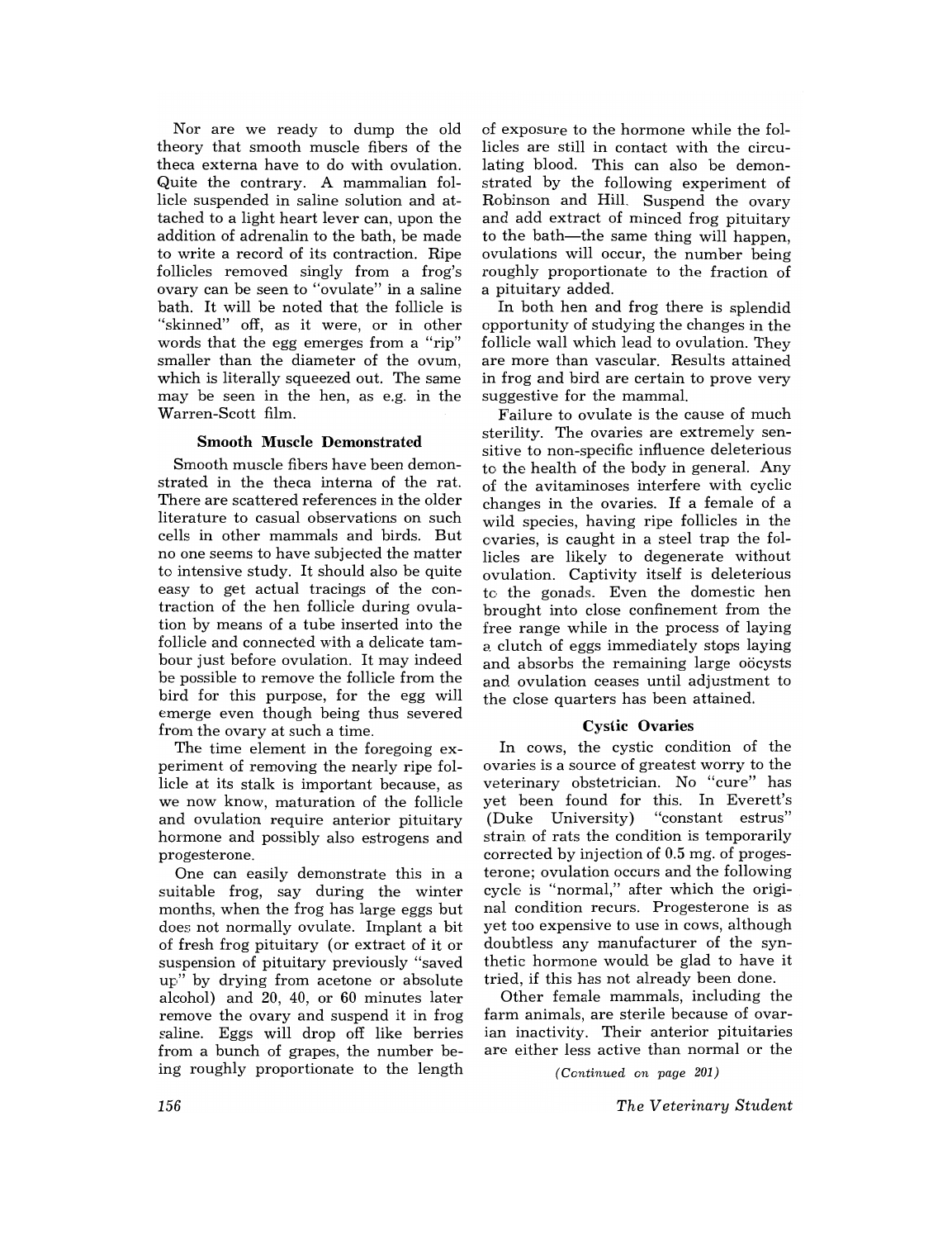Nor are we ready to dump the old theory that smooth muscle fibers of the theca externa have to do with ovulation. Quite the contrary. A mammalian follicle suspended in saline solution and attached to a light heart lever can, upon the addition of adrenalin to the bath, be made to write a record of its contraction. Ripe follicles removed singly from a frog's ovary can be seen to "ovulate" in a saline bath. It will be noted that the follicle is "skinned" off, as it were, or in other words that the egg emerges from a "rip" smaller than the diameter of the ovum, which is literally squeezed out. The same may be seen in the hen, as e.g. in the Warren-Scott film.

#### **Smooth** Muscle Demonstrated

Smooth muscle fibers have been demonstrated in the theca interna of the rat. There are scattered references in the older literature to casual observations on such cells in other mammals and birds. But no one seems to have subjected the matter to intensive study. It should also be quite easy to get actual tracings of the contraction of the hen follicle during ovulation by means of a tube inserted into the follicle and connected with a delicate tambour just before ovulation. It may indeed be possible to remove the follicle from the bird for this purpose, for the egg will emerge even though being thus severed from the ovary at such a time.

The time element in the foregoing experiment of removing the nearly ripe follicle at its stalk is important because, as we now know, maturation of the follicle and ovulation require anterior pituitary hormone and possibly also estrogens and pro gesterone.

One can easily demonstrate this in a suitable frog, say during the winter months, when the frog has large eggs but does not normally ovulate. Implant a bit of fresh frog pituitary (or extract of it or suspension of pituitary previously "saved up" by drying from acetone or absolute alcohol) and 20, 40, or 60 minutes later remove the ovary and suspend it in frog saline. Eggs will drop off like berries from a bunch of grapes, the number being roughly proportionate to the length

of exposure to the hormone while the follicles are still in contact with the circulating blood. This can also be demonstrated by the following experiment of Robinson and Hill. Suspend the ovary and add extract of minced frog pituitary to the bath—the same thing will happen, ovulations will occur, the number being roughly proportionate to the fraction of a pituitary added.

In both hen and frog there is splendid opportunity of studying the changes in the follicle wall which lead to ovulation. They are more than vascular. Results attained in frog and bird are certain to prove very suggestive for the mammal.

Failure to ovulate is the cause of much sterility. The ovaries are extremely sensitive to non-specific influence deleterious to the health of the body in general. Any of the avitaminoses interfere with cyclic changes in the ovaries. If a female of a wild species, having ripe follicles in the ovaries, is caught in a steel trap the follicles are likely to degenerate without ovulation. Captivity itself is deleterious to the gonads. Even the domestic hen brought into close confinement from the free range while in the process of laying *0.* clutch of eggs immediately stops laying and absorbs the remaining large oocysts and ovulation ceases until adjustment to the close quarters has been attained.

#### Cystic Ovaries

In cows, the cystic condition of the ovaries is a source of greatest worry to the veterinary obstetrician. No "cure" has yet been found for this. In Everett's (Duke University) "constant estrus" strain of rats the condition is temporarily corrected by injection of 0.5 mg. of progesterone; ovulation occurs and the following cycle is "normal," after which the original condition recurs. Progesterone is as yet too expensive to use in cows, although doubtless any manufacturer of the synthetic hormone would be glad to have it tried, if this has not already been done.

Other female mammals, including the farm animals, are sterile because of ovarian inactivity. Their anterior pituitaries are either less active than normal or the

*(Ccntinued on page 201)* 

*The Veterinary Student*